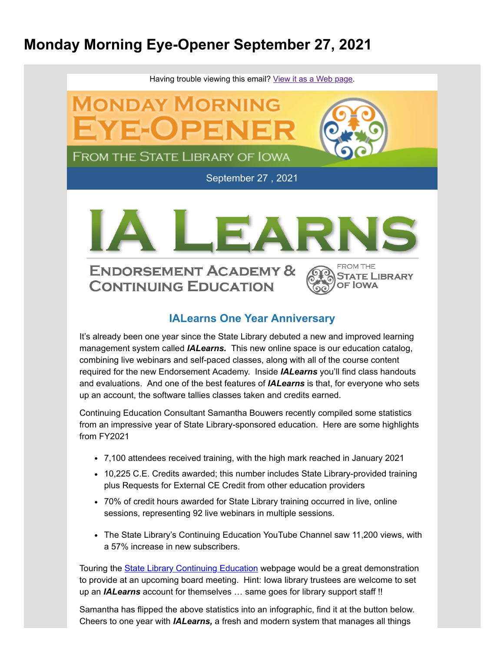### **Monday Morning Eye-Opener September 27, 2021**



#### **IALearns One Year Anniversary**

It's already been one year since the State Library debuted a new and improved learning management system called *IALearns.* This new online space is our education catalog, combining live webinars and self-paced classes, along with all of the course content required for the new Endorsement Academy. Inside *IALearns* you'll find class handouts and evaluations. And one of the best features of *IALearns* is that, for everyone who sets up an account, the software tallies classes taken and credits earned.

Continuing Education Consultant Samantha Bouwers recently compiled some statistics from an impressive year of State Library-sponsored education. Here are some highlights from FY2021

- 7,100 attendees received training, with the high mark reached in January 2021
- 10,225 C.E. Credits awarded; this number includes State Library-provided training plus Requests for External CE Credit from other education providers
- 70% of credit hours awarded for State Library training occurred in live, online sessions, representing 92 live webinars in multiple sessions.
- The State Library's Continuing Education YouTube Channel saw 11,200 views, with a 57% increase in new subscribers.

Touring the **State Library Continuing Education** webpage would be a great demonstration to provide at an upcoming board meeting. Hint: Iowa library trustees are welcome to set up an *IALearns* account for themselves … same goes for library support staff !!

Samantha has flipped the above statistics into an infographic, find it at the button below. Cheers to one year with *IALearns,* a fresh and modern system that manages all things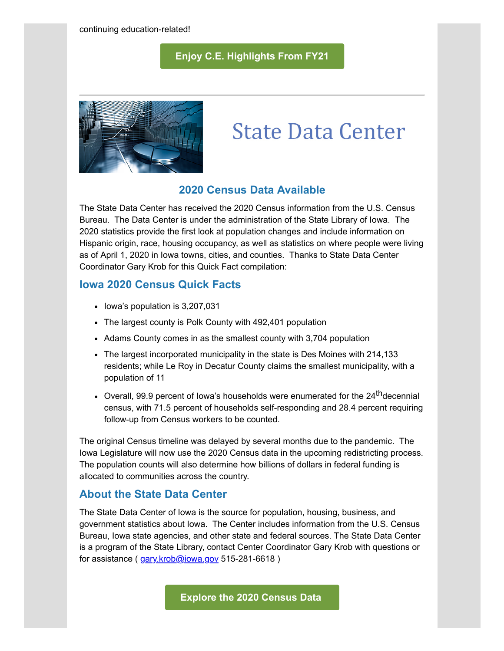#### **[Enjoy C.E. Highlights From FY21](https://www.statelibraryofiowa.gov/application/files/6216/2698/3250/CE_FY21_Annual_Report.pdf?utm_medium=email&utm_source=govdelivery)**



# **State Data Center**

#### **2020 Census Data Available**

The State Data Center has received the 2020 Census information from the U.S. Census Bureau. The Data Center is under the administration of the State Library of Iowa. The 2020 statistics provide the first look at population changes and include information on Hispanic origin, race, housing occupancy, as well as statistics on where people were living as of April 1, 2020 in Iowa towns, cities, and counties. Thanks to State Data Center Coordinator Gary Krob for this Quick Fact compilation:

#### **Iowa 2020 Census Quick Facts**

- Iowa's population is 3,207,031
- The largest county is Polk County with 492,401 population
- Adams County comes in as the smallest county with 3,704 population
- The largest incorporated municipality in the state is Des Moines with 214,133 residents; while Le Roy in Decatur County claims the smallest municipality, with a population of 11
- Overall, 99.9 percent of lowa's households were enumerated for the 24<sup>th</sup>decennial census, with 71.5 percent of households self-responding and 28.4 percent requiring follow-up from Census workers to be counted.

The original Census timeline was delayed by several months due to the pandemic. The Iowa Legislature will now use the 2020 Census data in the upcoming redistricting process. The population counts will also determine how billions of dollars in federal funding is allocated to communities across the country.

#### **About the State Data Center**

The State Data Center of Iowa is the source for population, housing, business, and government statistics about Iowa. The Center includes information from the U.S. Census Bureau, Iowa state agencies, and other state and federal sources. The State Data Center is a program of the State Library, contact Center Coordinator Gary Krob with questions or for assistance ( [gary.krob@iowa.gov](mailto:gary.krob@iowa.gov) 515-281-6618 )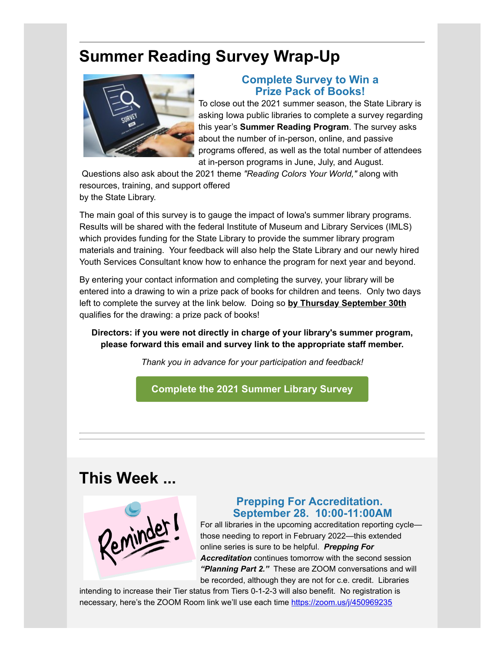## **Summer Reading Survey Wrap-Up**



#### **Complete Survey to Win a Prize Pack of Books!**

To close out the 2021 summer season, the State Library is asking Iowa public libraries to complete a survey regarding this year's **Summer Reading Program**. The survey asks about the number of in-person, online, and passive programs offered, as well as the total number of attendees at in-person programs in June, July, and August.

Questions also ask about the 2021 theme *"Reading Colors Your World,"* along with resources, training, and support offered by the State Library.

The main goal of this survey is to gauge the impact of Iowa's summer library programs. Results will be shared with the federal Institute of Museum and Library Services (IMLS) which provides funding for the State Library to provide the summer library program materials and training. Your feedback will also help the State Library and our newly hired Youth Services Consultant know how to enhance the program for next year and beyond.

By entering your contact information and completing the survey, your library will be entered into a drawing to win a prize pack of books for children and teens. Only two days left to complete the survey at the link below. Doing so **by Thursday September 30th** qualifies for the drawing: a prize pack of books!

**Directors: if you were not directly in charge of your library's summer program, please forward this email and survey link to the appropriate staff member.**

*Thank you in advance for your participation and feedback!*

**[Complete the 2021 Summer Library Survey](https://docs.google.com/forms/d/e/1FAIpQLScd4JmGpfYuIvthZIAGYdDwB2OM6YxHpbP0ceqh2pL7s-4rHA/viewform?utm_medium=email&utm_source=govdelivery)**

### **This Week ...**



#### **Prepping For Accreditation. September 28. 10:00-11:00AM**

For all libraries in the upcoming accreditation reporting cycle those needing to report in February 2022—this extended online series is sure to be helpful. *Prepping For Accreditation* continues tomorrow with the second session *"Planning Part 2."* These are ZOOM conversations and will be recorded, although they are not for c.e. credit. Libraries

intending to increase their Tier status from Tiers 0-1-2-3 will also benefit. No registration is necessary, here's the ZOOM Room link we'll use each time [https://zoom.us/j/450969235](https://zoom.us/j/450969235?utm_medium=email&utm_source=govdelivery)